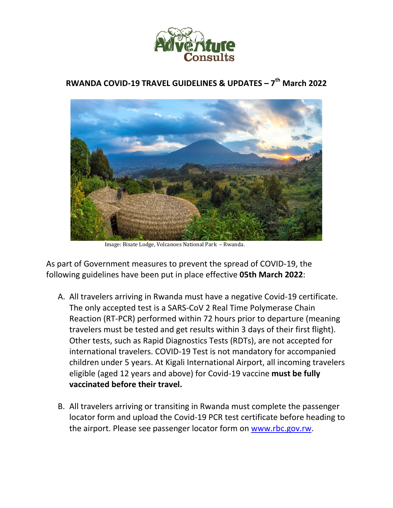

## **RWANDA COVID-19 TRAVEL GUIDELINES & UPDATES – 7 th March 2022**



Image: Bisate Lodge, Volcanoes National Park – Rwanda.

As part of Government measures to prevent the spread of COVID-19, the following guidelines have been put in place effective **05th March 2022**:

- A. All travelers arriving in Rwanda must have a negative Covid-19 certificate. The only accepted test is a SARS-CoV 2 Real Time Polymerase Chain Reaction (RT-PCR) performed within 72 hours prior to departure (meaning travelers must be tested and get results within 3 days of their first flight). Other tests, such as Rapid Diagnostics Tests (RDTs), are not accepted for international travelers. COVID-19 Test is not mandatory for accompanied children under 5 years. At Kigali International Airport, all incoming travelers eligible (aged 12 years and above) for Covid-19 vaccine **must be fully vaccinated before their travel.**
- B. All travelers arriving or transiting in Rwanda must complete the passenger locator form and upload the Covid-19 PCR test certificate before heading to the airport. Please see passenger locator form on www.rbc.gov.rw.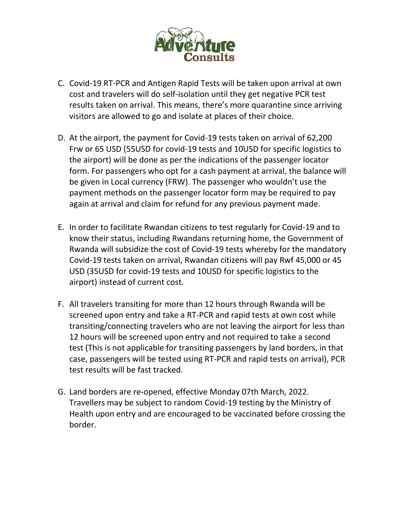

- C. Covid-19 RT-PCR and Antigen Rapid Tests will be taken upon arrival at own cost and travelers will do self-isolation until they get negative PCR test results taken on arrival. This means, there's more quarantine since arriving visitors are allowed to go and isolate at places of their choice.
- D. At the airport, the payment for Covid-19 tests taken on arrival of 62,200 Frw or 65 USD (55USD for covid-19 tests and 10USD for specific logistics to the airport) will be done as per the indications of the passenger locator form. For passengers who opt for a cash payment at arrival, the balance will be given in Local currency (FRW). The passenger who wouldn't use the payment methods on the passenger locator form may be required to pay again at arrival and claim for refund for any previous payment made.
- E. In order to facilitate Rwandan citizens to test regularly for Covid-19 and to know their status, including Rwandans returning home, the Government of Rwanda will subsidize the cost of Covid-19 tests whereby for the mandatory Covid-19 tests taken on arrival, Rwandan citizens will pay Rwf 45,000 or 45 USD (35USD for covid-19 tests and 10USD for specific logistics to the airport) instead of current cost.
- F. All travelers transiting for more than 12 hours through Rwanda will be screened upon entry and take a RT-PCR and rapid tests at own cost while transiting/connecting travelers who are not leaving the airport for less than 12 hours will be screened upon entry and not required to take a second test (This is not applicable for transiting passengers by land borders, in that case, passengers will be tested using RT-PCR and rapid tests on arrival), PCR test results will be fast tracked.
- G. Land borders are re-opened, effective Monday 07th March, 2022. Travellers may be subject to random Covid-19 testing by the Ministry of Health upon entry and are encouraged to be vaccinated before crossing the border.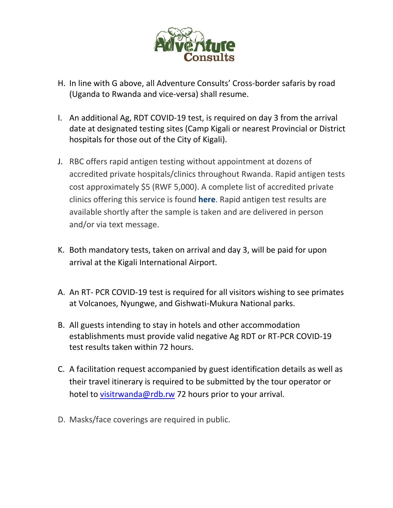

- H. In line with G above, all Adventure Consults' Cross-border safaris by road (Uganda to Rwanda and vice-versa) shall resume.
- I. An additional Ag, RDT COVID-19 test, is required on day 3 from the arrival date at designated testing sites (Camp Kigali or nearest Provincial or District hospitals for those out of the City of Kigali).
- J. RBC offers rapid antigen testing without appointment at dozens of accredited private hospitals/clinics throughout Rwanda. Rapid antigen tests cost approximately \$5 (RWF 5,000). A complete list of accredited private clinics offering this service is found **here**. Rapid antigen test results are available shortly after the sample is taken and are delivered in person and/or via text message.
- K. Both mandatory tests, taken on arrival and day 3, will be paid for upon arrival at the Kigali International Airport.
- A. An RT- PCR COVID-19 test is required for all visitors wishing to see primates at Volcanoes, Nyungwe, and Gishwati-Mukura National parks.
- B. All guests intending to stay in hotels and other accommodation establishments must provide valid negative Ag RDT or RT-PCR COVID-19 test results taken within 72 hours.
- C. A facilitation request accompanied by guest identification details as well as their travel itinerary is required to be submitted by the tour operator or hotel to visitrwanda@rdb.rw 72 hours prior to your arrival.
- D. Masks/face coverings are required in public.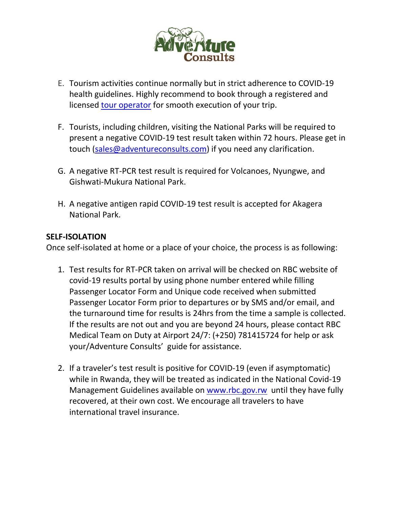

- E. Tourism activities continue normally but in strict adherence to COVID-19 health guidelines. Highly recommend to book through a registered and licensed tour operator for smooth execution of your trip.
- F. Tourists, including children, visiting the National Parks will be required to present a negative COVID-19 test result taken within 72 hours. Please get in touch (sales@adventureconsults.com) if you need any clarification.
- G. A negative RT-PCR test result is required for Volcanoes, Nyungwe, and Gishwati-Mukura National Park.
- H. A negative antigen rapid COVID-19 test result is accepted for Akagera National Park.

## **SELF-ISOLATION**

Once self-isolated at home or a place of your choice, the process is as following:

- 1. Test results for RT-PCR taken on arrival will be checked on RBC website of covid-19 results portal by using phone number entered while filling Passenger Locator Form and Unique code received when submitted Passenger Locator Form prior to departures or by SMS and/or email, and the turnaround time for results is 24hrs from the time a sample is collected. If the results are not out and you are beyond 24 hours, please contact RBC Medical Team on Duty at Airport 24/7: (+250) 781415724 for help or ask your/Adventure Consults' guide for assistance.
- 2. If a traveler's test result is positive for COVID-19 (even if asymptomatic) while in Rwanda, they will be treated as indicated in the National Covid-19 Management Guidelines available on www.rbc.gov.rw until they have fully recovered, at their own cost. We encourage all travelers to have international travel insurance.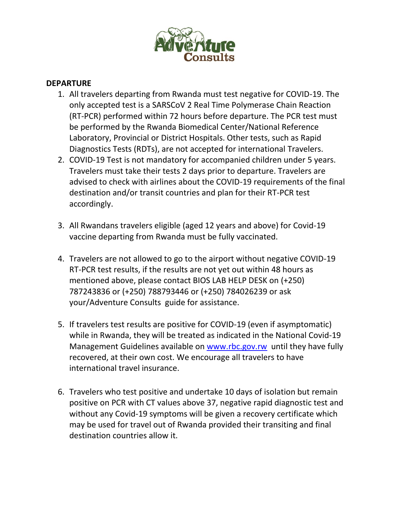

## **DEPARTURE**

- 1. All travelers departing from Rwanda must test negative for COVID-19. The only accepted test is a SARSCoV 2 Real Time Polymerase Chain Reaction (RT-PCR) performed within 72 hours before departure. The PCR test must be performed by the Rwanda Biomedical Center/National Reference Laboratory, Provincial or District Hospitals. Other tests, such as Rapid Diagnostics Tests (RDTs), are not accepted for international Travelers.
- 2. COVID-19 Test is not mandatory for accompanied children under 5 years. Travelers must take their tests 2 days prior to departure. Travelers are advised to check with airlines about the COVID-19 requirements of the final destination and/or transit countries and plan for their RT-PCR test accordingly.
- 3. All Rwandans travelers eligible (aged 12 years and above) for Covid-19 vaccine departing from Rwanda must be fully vaccinated.
- 4. Travelers are not allowed to go to the airport without negative COVID-19 RT-PCR test results, if the results are not yet out within 48 hours as mentioned above, please contact BIOS LAB HELP DESK on (+250) 787243836 or (+250) 788793446 or (+250) 784026239 or ask your/Adventure Consults guide for assistance.
- 5. If travelers test results are positive for COVID-19 (even if asymptomatic) while in Rwanda, they will be treated as indicated in the National Covid-19 Management Guidelines available on www.rbc.gov.rw until they have fully recovered, at their own cost. We encourage all travelers to have international travel insurance.
- 6. Travelers who test positive and undertake 10 days of isolation but remain positive on PCR with CT values above 37, negative rapid diagnostic test and without any Covid-19 symptoms will be given a recovery certificate which may be used for travel out of Rwanda provided their transiting and final destination countries allow it.